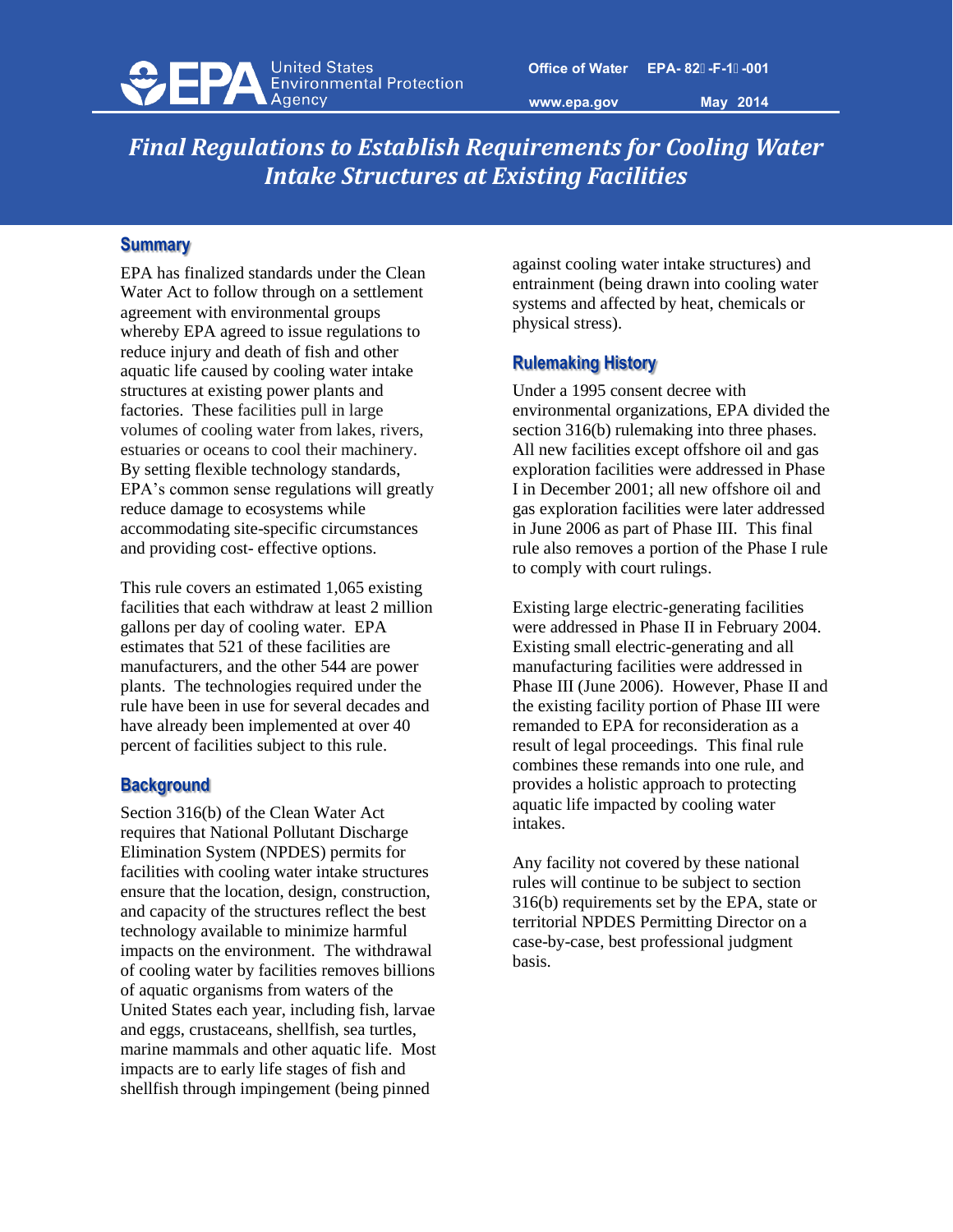

**www.epa.gov** 

**May 2014** 

# *Final Regulations to Establish Requirements for Cooling Water Intake Structures at Existing Facilities*

### **Summary**

EPA has finalized standards under the Clean Water Act to follow through on a settlement agreement with environmental groups whereby EPA agreed to issue regulations to reduce injury and death of fish and other aquatic life caused by cooling water intake structures at existing power plants and factories. These facilities pull in large volumes of cooling water from lakes, rivers, estuaries or oceans to cool their machinery. By setting flexible technology standards, EPA's common sense regulations will greatly reduce damage to ecosystems while accommodating site-specific circumstances and providing cost- effective options.

This rule covers an estimated 1,065 existing facilities that each withdraw at least 2 million gallons per day of cooling water. EPA estimates that 521 of these facilities are manufacturers, and the other 544 are power plants. The technologies required under the rule have been in use for several decades and have already been implemented at over 40 percent of facilities subject to this rule.

#### **Background**

Section 316(b) of the Clean Water Act requires that National Pollutant Discharge Elimination System (NPDES) permits for facilities with cooling water intake structures ensure that the location, design, construction, and capacity of the structures reflect the best technology available to minimize harmful impacts on the environment. The withdrawal of cooling water by facilities removes billions of aquatic organisms from waters of the United States each year, including fish, larvae and eggs, crustaceans, shellfish, sea turtles, marine mammals and other aquatic life. Most impacts are to early life stages of fish and shellfish through impingement (being pinned

against cooling water intake structures) and entrainment (being drawn into cooling water systems and affected by heat, chemicals or physical stress).

## **Rulemaking History**

Under a 1995 consent decree with environmental organizations, EPA divided the section 316(b) rulemaking into three phases. All new facilities except offshore oil and gas exploration facilities were addressed in Phase I in December 2001; all new offshore oil and gas exploration facilities were later addressed in June 2006 as part of Phase III. This final rule also removes a portion of the Phase I rule to comply with court rulings.

Existing large electric-generating facilities were addressed in Phase II in February 2004. Existing small electric-generating and all manufacturing facilities were addressed in Phase III (June 2006). However, Phase II and the existing facility portion of Phase III were remanded to EPA for reconsideration as a result of legal proceedings. This final rule combines these remands into one rule, and provides a holistic approach to protecting aquatic life impacted by cooling water intakes.

Any facility not covered by these national rules will continue to be subject to section 316(b) requirements set by the EPA, state or territorial NPDES Permitting Director on a case-by-case, best professional judgment basis.